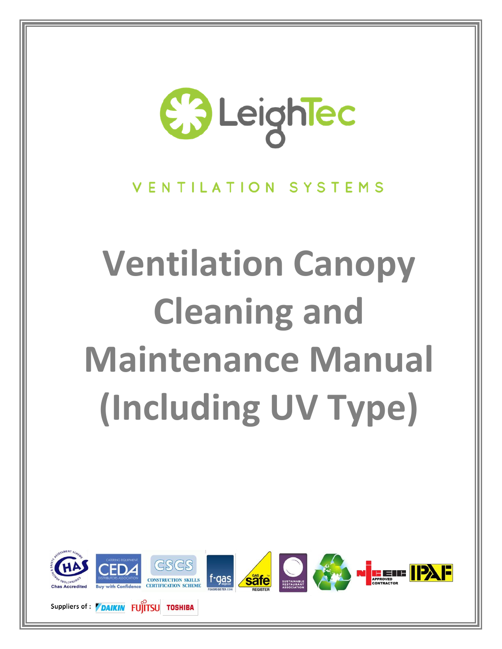

#### VENTILATION SYSTEMS

# **Ventilation Canopy Cleaning and Maintenance Manual (Including UV Type)**



Suppliers of : **DAIKIN FUITSU TOSHIBA**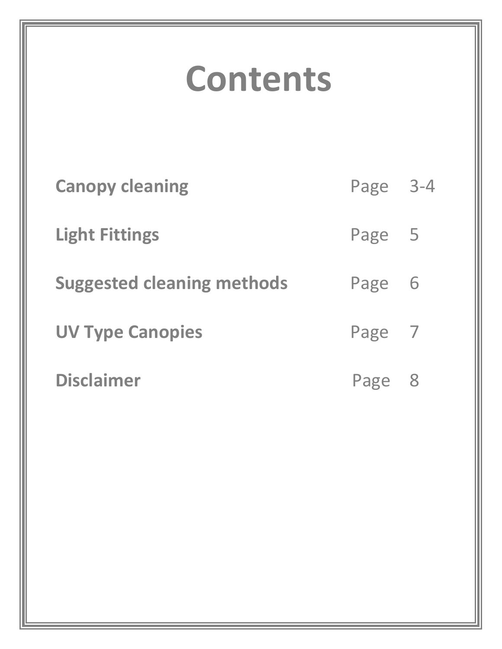# **Contents**

| <b>Canopy cleaning</b>            | Page 3-4 |  |
|-----------------------------------|----------|--|
| <b>Light Fittings</b>             | Page 5   |  |
| <b>Suggested cleaning methods</b> | Page 6   |  |
| <b>UV Type Canopies</b>           | Page 7   |  |
| <b>Disclaimer</b>                 | Page 8   |  |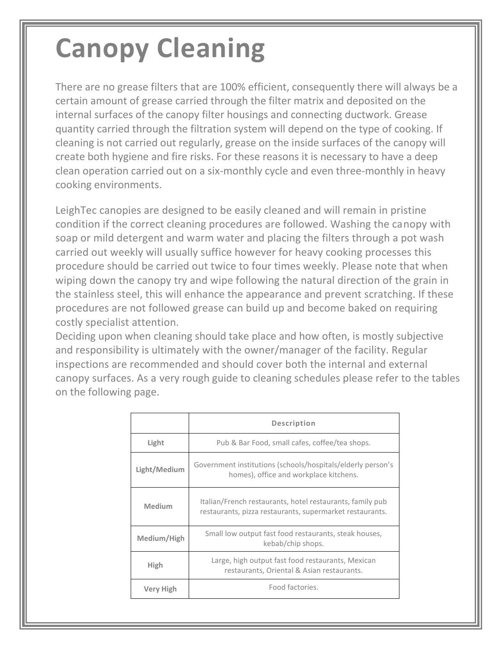### **Canopy Cleaning**

There are no grease filters that are 100% efficient, consequently there will always be a certain amount of grease carried through the filter matrix and deposited on the internal surfaces of the canopy filter housings and connecting ductwork. Grease quantity carried through the filtration system will depend on the type of cooking. If cleaning is not carried out regularly, grease on the inside surfaces of the canopy will create both hygiene and fire risks. For these reasons it is necessary to have a deep clean operation carried out on a six-monthly cycle and even three-monthly in heavy cooking environments.

LeighTec canopies are designed to be easily cleaned and will remain in pristine condition if the correct cleaning procedures are followed. Washing the canopy with soap or mild detergent and warm water and placing the filters through a pot wash carried out weekly will usually suffice however for heavy cooking processes this procedure should be carried out twice to four times weekly. Please note that when wiping down the canopy try and wipe following the natural direction of the grain in the stainless steel, this will enhance the appearance and prevent scratching. If these procedures are not followed grease can build up and become baked on requiring costly specialist attention.

Deciding upon when cleaning should take place and how often, is mostly subjective and responsibility is ultimately with the owner/manager of the facility. Regular inspections are recommended and should cover both the internal and external canopy surfaces. As a very rough guide to cleaning schedules please refer to the tables on the following page.

|                  | <b>Description</b>                                                                                                    |  |  |
|------------------|-----------------------------------------------------------------------------------------------------------------------|--|--|
| Light            | Pub & Bar Food, small cafes, coffee/tea shops.                                                                        |  |  |
| Light/Medium     | Government institutions (schools/hospitals/elderly person's<br>homes), office and workplace kitchens.                 |  |  |
| Medium           | Italian/French restaurants, hotel restaurants, family pub<br>restaurants, pizza restaurants, supermarket restaurants. |  |  |
| Medium/High      | Small low output fast food restaurants, steak houses,<br>kebab/chip shops.                                            |  |  |
| High             | Large, high output fast food restaurants, Mexican<br>restaurants, Oriental & Asian restaurants.                       |  |  |
| <b>Very High</b> | Food factories.                                                                                                       |  |  |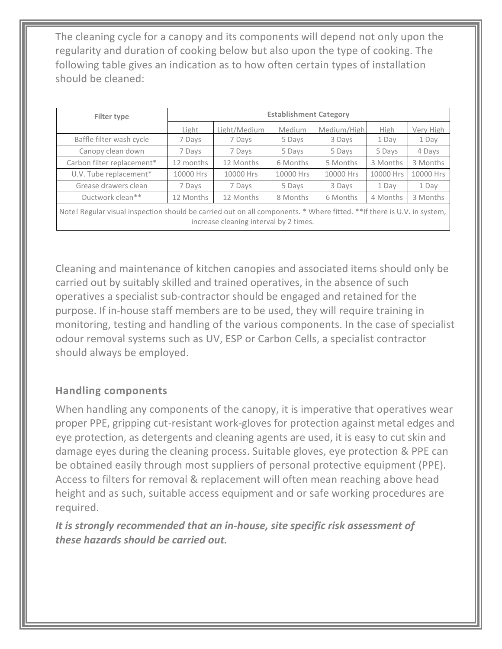The cleaning cycle for a canopy and its components will depend not only upon the regularity and duration of cooking below but also upon the type of cooking. The following table gives an indication as to how often certain types of installation should be cleaned:

| Filter type                                                                                                                                                      | <b>Establishment Category</b> |              |           |             |           |           |
|------------------------------------------------------------------------------------------------------------------------------------------------------------------|-------------------------------|--------------|-----------|-------------|-----------|-----------|
|                                                                                                                                                                  | Light                         | Light/Medium | Medium    | Medium/High | High      | Very High |
| Baffle filter wash cycle                                                                                                                                         | 7 Days                        | 7 Days       | 5 Days    | 3 Days      | 1 Day     | 1 Day     |
| Canopy clean down                                                                                                                                                | 7 Days                        | 7 Days       | 5 Days    | 5 Days      | 5 Days    | 4 Days    |
| Carbon filter replacement*                                                                                                                                       | 12 months                     | 12 Months    | 6 Months  | 5 Months    | 3 Months  | 3 Months  |
| U.V. Tube replacement*                                                                                                                                           | 10000 Hrs                     | 10000 Hrs    | 10000 Hrs | 10000 Hrs   | 10000 Hrs | 10000 Hrs |
| Grease drawers clean                                                                                                                                             | 7 Days                        | 7 Days       | 5 Days    | 3 Days      | 1 Day     | 1 Day     |
| Ductwork clean**                                                                                                                                                 | 12 Months                     | 12 Months    | 8 Months  | 6 Months    | 4 Months  | 3 Months  |
| Note! Regular visual inspection should be carried out on all components. * Where fitted. **If there is U.V. in system,<br>increase cleaning interval by 2 times. |                               |              |           |             |           |           |

Cleaning and maintenance of kitchen canopies and associated items should only be carried out by suitably skilled and trained operatives, in the absence of such operatives a specialist sub-contractor should be engaged and retained for the purpose. If in-house staff members are to be used, they will require training in monitoring, testing and handling of the various components. In the case of specialist odour removal systems such as UV, ESP or Carbon Cells, a specialist contractor should always be employed.

#### **Handling components**

When handling any components of the canopy, it is imperative that operatives wear proper PPE, gripping cut-resistant work-gloves for protection against metal edges and eye protection, as detergents and cleaning agents are used, it is easy to cut skin and damage eyes during the cleaning process. Suitable gloves, eye protection & PPE can be obtained easily through most suppliers of personal protective equipment (PPE). Access to filters for removal & replacement will often mean reaching above head height and as such, suitable access equipment and or safe working procedures are required.

*It is strongly recommended that an in-house, site specific risk assessment of these hazards should be carried out.*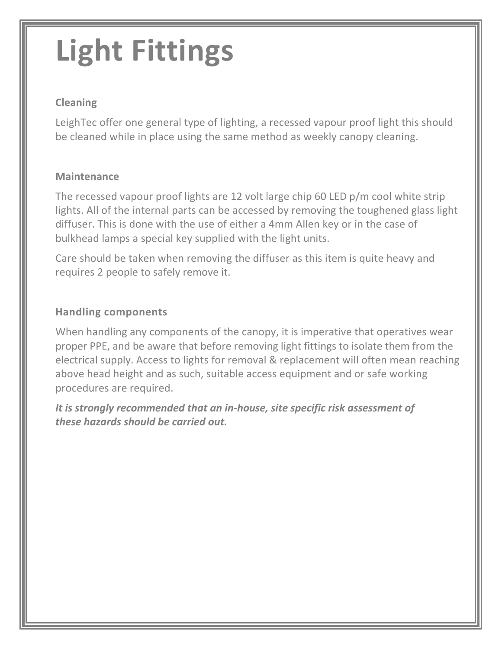# **Light Fittings**

#### **Cleaning**

LeighTec offer one general type of lighting, a recessed vapour proof light this should be cleaned while in place using the same method as weekly canopy cleaning.

#### **Maintenance**

The recessed vapour proof lights are 12 volt large chip 60 LED p/m cool white strip lights. All of the internal parts can be accessed by removing the toughened glass light diffuser. This is done with the use of either a 4mm Allen key or in the case of bulkhead lamps a special key supplied with the light units.

Care should be taken when removing the diffuser as this item is quite heavy and requires 2 people to safely remove it.

#### **Handling components**

When handling any components of the canopy, it is imperative that operatives wear proper PPE, and be aware that before removing light fittings to isolate them from the electrical supply. Access to lights for removal & replacement will often mean reaching above head height and as such, suitable access equipment and or safe working procedures are required.

*It is strongly recommended that an in-house, site specific risk assessment of these hazards should be carried out.*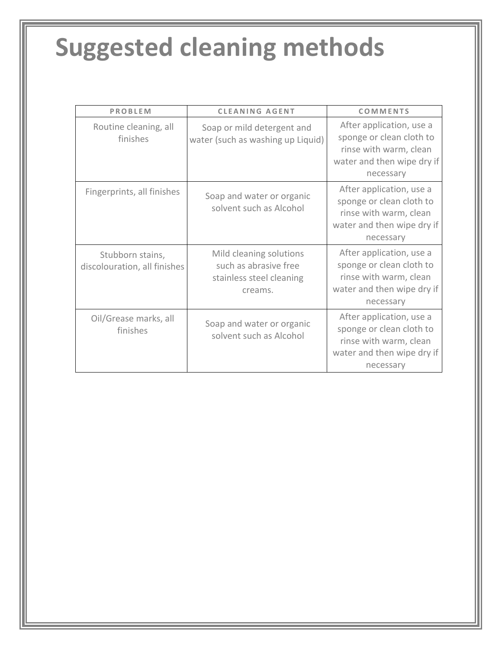### **Suggested cleaning methods**

| <b>PROBLEM</b>                                   | <b>CLEANING AGENT</b>                                                                   | <b>COMMENTS</b>                                                                                                           |
|--------------------------------------------------|-----------------------------------------------------------------------------------------|---------------------------------------------------------------------------------------------------------------------------|
| Routine cleaning, all<br>finishes                | Soap or mild detergent and<br>water (such as washing up Liquid)                         | After application, use a<br>sponge or clean cloth to<br>rinse with warm, clean<br>water and then wipe dry if<br>necessary |
| Fingerprints, all finishes                       | Soap and water or organic<br>solvent such as Alcohol                                    | After application, use a<br>sponge or clean cloth to<br>rinse with warm, clean<br>water and then wipe dry if<br>necessary |
| Stubborn stains,<br>discolouration, all finishes | Mild cleaning solutions<br>such as abrasive free<br>stainless steel cleaning<br>creams. | After application, use a<br>sponge or clean cloth to<br>rinse with warm, clean<br>water and then wipe dry if<br>necessary |
| Oil/Grease marks, all<br>finishes                | Soap and water or organic<br>solvent such as Alcohol                                    | After application, use a<br>sponge or clean cloth to<br>rinse with warm, clean<br>water and then wipe dry if<br>necessary |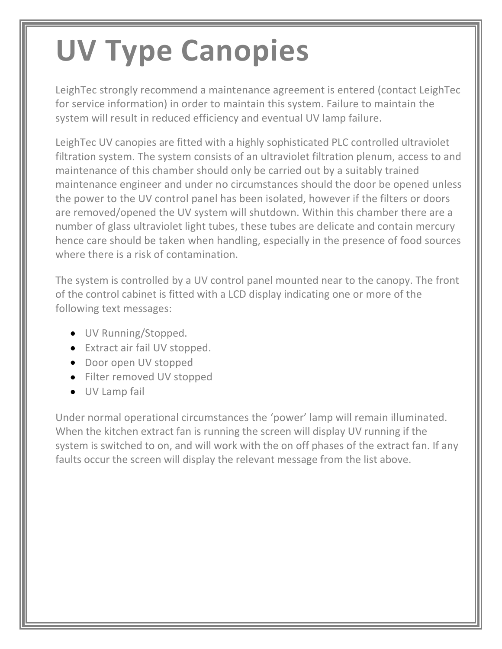### **UV Type Canopies**

LeighTec strongly recommend a maintenance agreement is entered (contact LeighTec for service information) in order to maintain this system. Failure to maintain the system will result in reduced efficiency and eventual UV lamp failure.

LeighTec UV canopies are fitted with a highly sophisticated PLC controlled ultraviolet filtration system. The system consists of an ultraviolet filtration plenum, access to and maintenance of this chamber should only be carried out by a suitably trained maintenance engineer and under no circumstances should the door be opened unless the power to the UV control panel has been isolated, however if the filters or doors are removed/opened the UV system will shutdown. Within this chamber there are a number of glass ultraviolet light tubes, these tubes are delicate and contain mercury hence care should be taken when handling, especially in the presence of food sources where there is a risk of contamination.

The system is controlled by a UV control panel mounted near to the canopy. The front of the control cabinet is fitted with a LCD display indicating one or more of the following text messages:

- **UV Running/Stopped.**
- Extract air fail UV stopped.
- Door open UV stopped
- Filter removed UV stopped
- **UV Lamp fail**

Under normal operational circumstances the 'power' lamp will remain illuminated. When the kitchen extract fan is running the screen will display UV running if the system is switched to on, and will work with the on off phases of the extract fan. If any faults occur the screen will display the relevant message from the list above.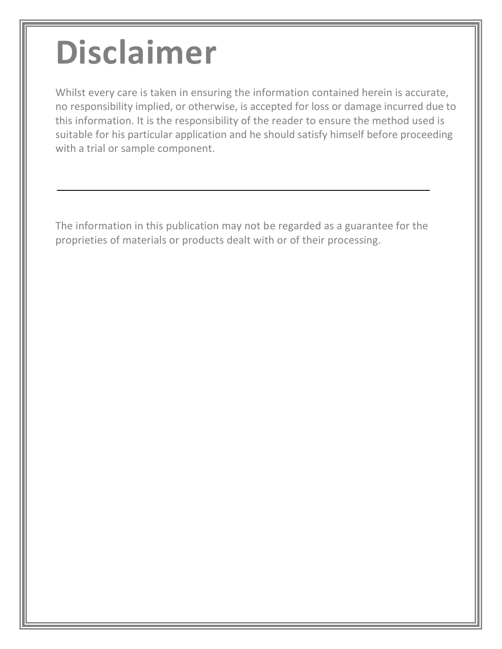# **Disclaimer**

Whilst every care is taken in ensuring the information contained herein is accurate, no responsibility implied, or otherwise, is accepted for loss or damage incurred due to this information. It is the responsibility of the reader to ensure the method used is suitable for his particular application and he should satisfy himself before proceeding with a trial or sample component.

The information in this publication may not be regarded as a guarantee for the proprieties of materials or products dealt with or of their processing.